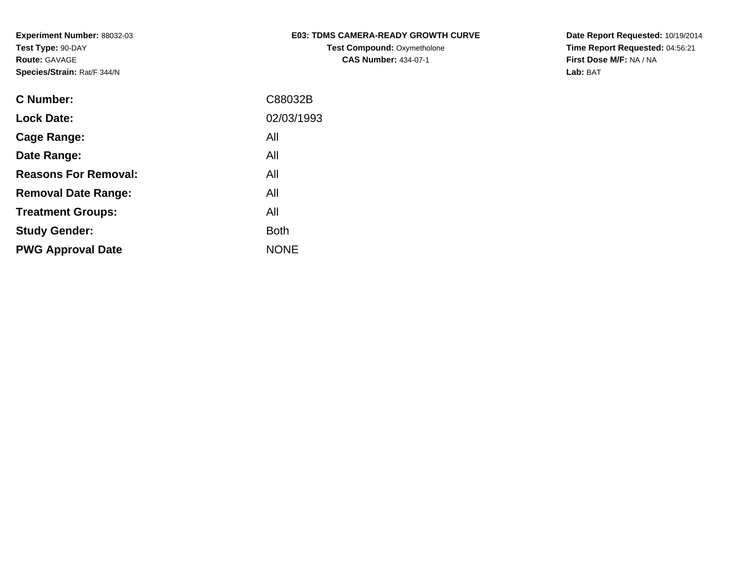## **E03: TDMS CAMERA-READY GROWTH CURVETest Compound: Oxymetholone CAS Number:** 434-07-1

**Date Report Requested:** 10/19/2014 **Time Report Requested:** 04:56:21**First Dose M/F:** NA / NA**Lab:** BAT

| <b>C Number:</b>            | C88032B     |
|-----------------------------|-------------|
| <b>Lock Date:</b>           | 02/03/1993  |
| <b>Cage Range:</b>          | All         |
| Date Range:                 | All         |
| <b>Reasons For Removal:</b> | All         |
| <b>Removal Date Range:</b>  | All         |
| <b>Treatment Groups:</b>    | All         |
| <b>Study Gender:</b>        | <b>Both</b> |
| <b>PWG Approval Date</b>    | <b>NONE</b> |
|                             |             |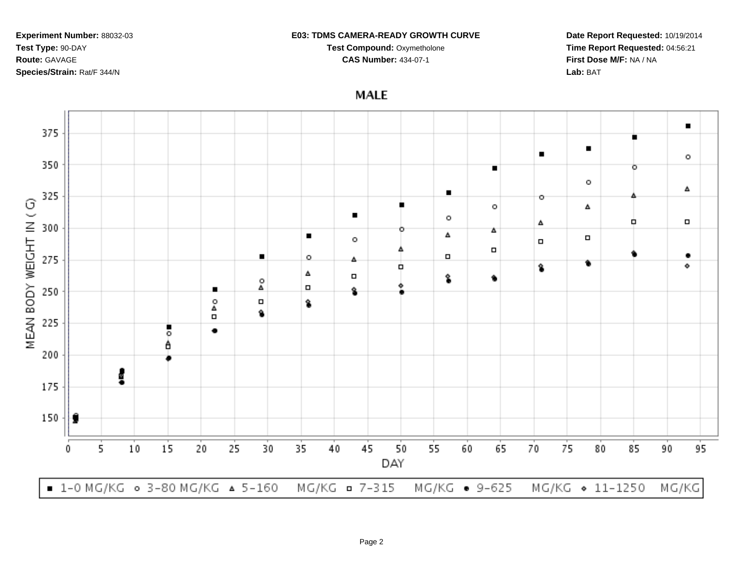#### **E03: TDMS CAMERA-READY GROWTH CURVE**

**Test Compound:** Oxymetholone

**CAS Number:** 434-07-1

**MALE** 

**Date Report Requested:** 10/19/2014**Time Report Requested:** 04:56:21**First Dose M/F:** NA / NA**Lab:** BAT

 $\blacksquare$ 

 $\circ$ 

٠

۰

95

375  $\blacksquare$  $\blacksquare$ 350 ٥  $\circ$ Δ  $\blacksquare$ 325 o MEAN BODY WEIGHT IN (G)  $\circ$ Δ  $\blacksquare$  $\circ$ o,  $\Box$ Δ 300 Δ  $\blacksquare$ Δ  $\Box$  $\circ$  $\Box$  $\Box$  $\Box$  $\circ$ 275 ■ Δ ۰ ٠ ŝ Δ  $\Box$ Ŝ. ρ<br>Δ  $\Box$ 250 п Ŷ  $_\Delta^\circ$  $\Box$ \$ ۹  $\Box$ 225 ٠ ۰ A 200 Į 175 150 9 5 10 15 20 25 30 35 40 45 50 55 60 65 70 75 80 85 90 0 DAY

MG/KG **¤** 7-315 ■ 1-0 MG/KG ○ 3-80 MG/KG ▲ 5-160 MG/KG • 9-625 MG/KG + 11-1250 MG/KG

Page 2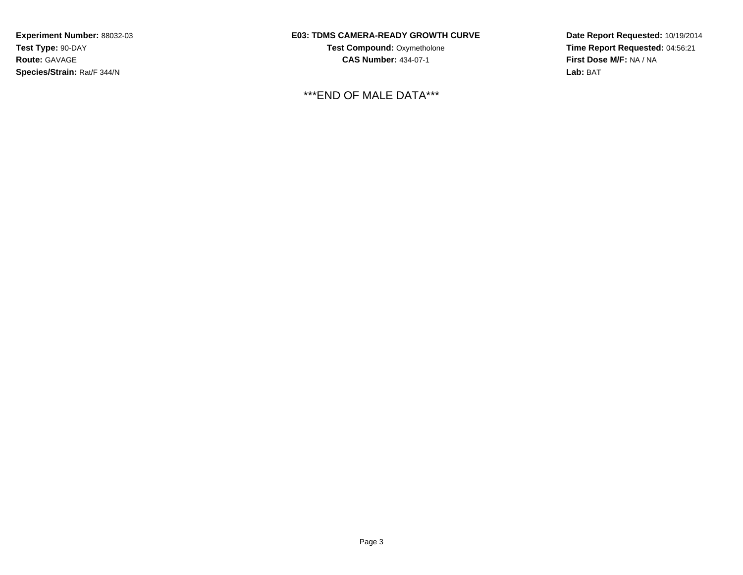## **E03: TDMS CAMERA-READY GROWTH CURVE**

**Test Compound:** Oxymetholone**CAS Number:** 434-07-1

\*\*\*END OF MALE DATA\*\*\*

**Date Report Requested:** 10/19/2014**Time Report Requested:** 04:56:21**First Dose M/F:** NA / NA**Lab:** BAT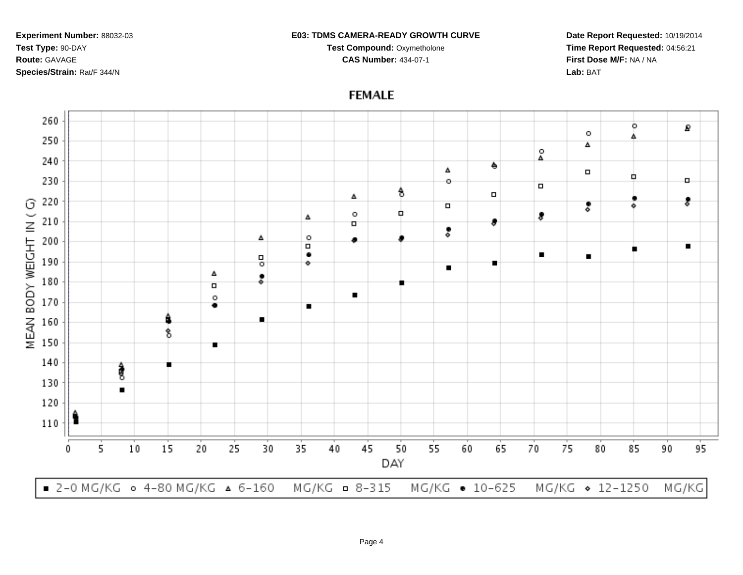#### **E03: TDMS CAMERA-READY GROWTH CURVE**

**Test Compound:** Oxymetholone

**CAS Number:** 434-07-1

**Date Report Requested:** 10/19/2014**Time Report Requested:** 04:56:21**First Dose M/F:** NA / NA**Lab:** BAT



# **FEMALE**